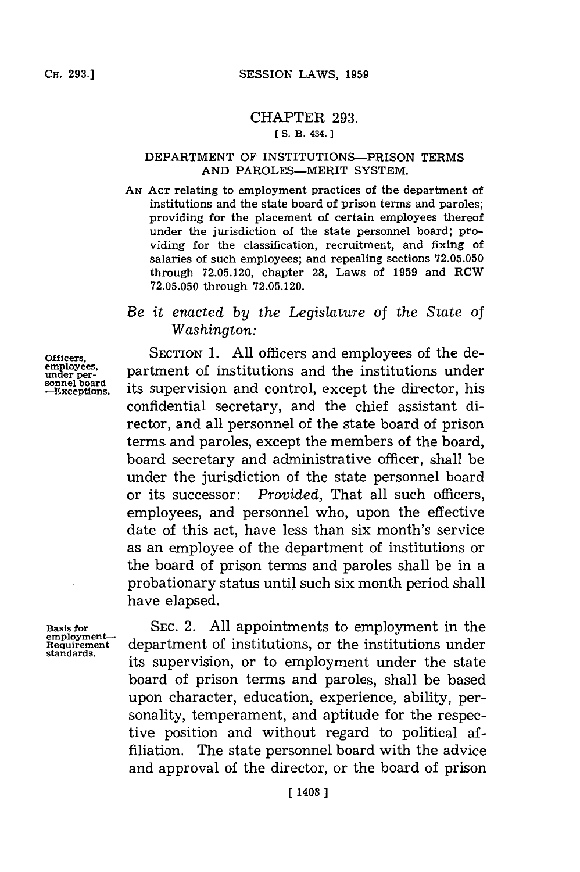## CHAPTER **293.**

## **[ S. B. 434.]1**

## DEPARTMENT OF INSTITUTIONS-PRISON TERMS **AND** PAROLES-MERIT SYSTEM.

*AN* **ACr** relating to employment practices of the department of institutions and the state board of prison terms and paroles; providing for the placement of certain employees thereof under the jurisdiction of the state personnel board; providing for the classification, recruitment, and fixing of salaries of such employees; and repealing sections **72.05.050** through **72.05.120,** chapter **28,** Laws of **1959** and RCW **72.05.050** through **72.05.120.**

## *Be it enacted by the Legislature of the State of Washington:*

SECTION 1. All officers and employees of the department of institutions and the institutions under its supervision and control, except the director, his confidential secretary, and the chief assistant director, and all personnel of the state board of prison terms and paroles, except the members of the board, board secretary and administrative officer, shall be under the jurisdiction of the state personnel board or its successor: *Provided,* That all such officers, employees, and personnel who, upon the effective date of this act, have less than six month's service as an employee of the department of institutions or the board of prison terms and paroles shall be in a probationary status until such six month period shall have elapsed.

Basis for **employment-**Requirement **standards.**

**SEC.** 2. **All** appointments to employment in the department of institutions, or the institutions under its supervision, or to employment under the state board of prison terms and paroles, shall be based upon character, education, experience, ability, personality, temperament, and aptitude for the respective position and without regard to political affiliation. The state personnel board with the advice and approval of the director, or the board of prison

Officers, **employees, under per-sonnel board** -Exceptions.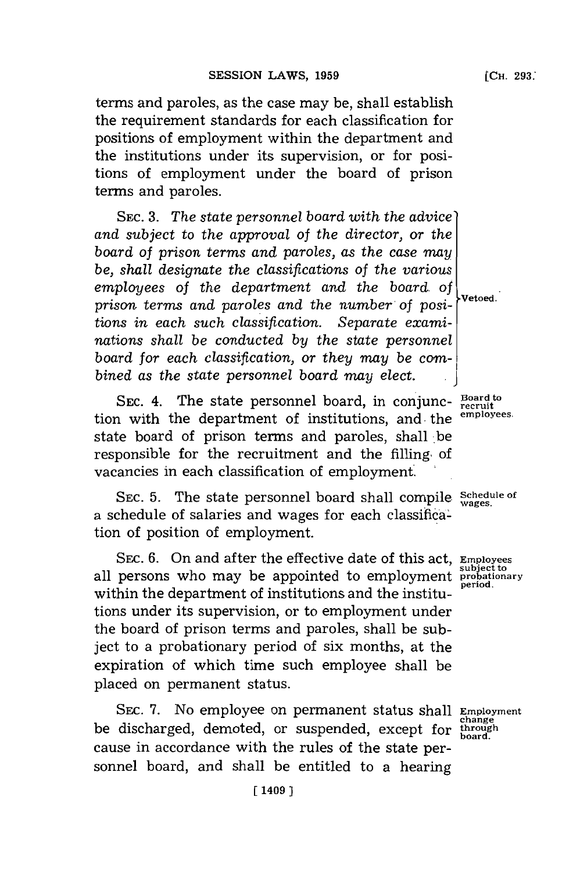terms and paroles, as the case may be, shall establish the requirement standards for each classification for positions of employment within the department and the institutions under its supervision, or for positions of employment under the board of prison terms and paroles.

**SEC. 3.** *The state personnel board with the advice' and subject* to *the approval of the director, or the board of prison terms and paroles, as the case may be, shall designate the classifications of the various employees of the department and the board of prison terms and paroles and the number of positions in each such classification. Separate examinations shall be conducted by the state personnel* board for each classification, or they may be com*bined as the state personnel board may elect.* **.**

SEC. 4. The state personnel board, in conjunc- Board to recruit the department of institutions and the employees. tion with the department of institutions, and the state board of prison terms and paroles, shall be responsible for the recruitment and the filling, of vacancies in each classification of employment.

SEC. 5. The state personnel board shall compile Schedule of  $\frac{1}{\text{wages.}}$ a schedule of salaries and wages for each classification of position of employment.

SEc. **6.** On and after the effective date of this act, **Employees** all persons who may be appointed to employment **probationary** within the department of institutions and the institutions under its supervision, or to employment under the board of prison terms and paroles, shall be subject to a probationary period of six months, at the expiration of which time such employee shall be placed on permanent status.

SEC. 7. No employee on permanent status shall **Employmer changed**, demoted, or suspended, except for through cause in accordance with the rules of the state personnel board, and shall be entitled to a hearing